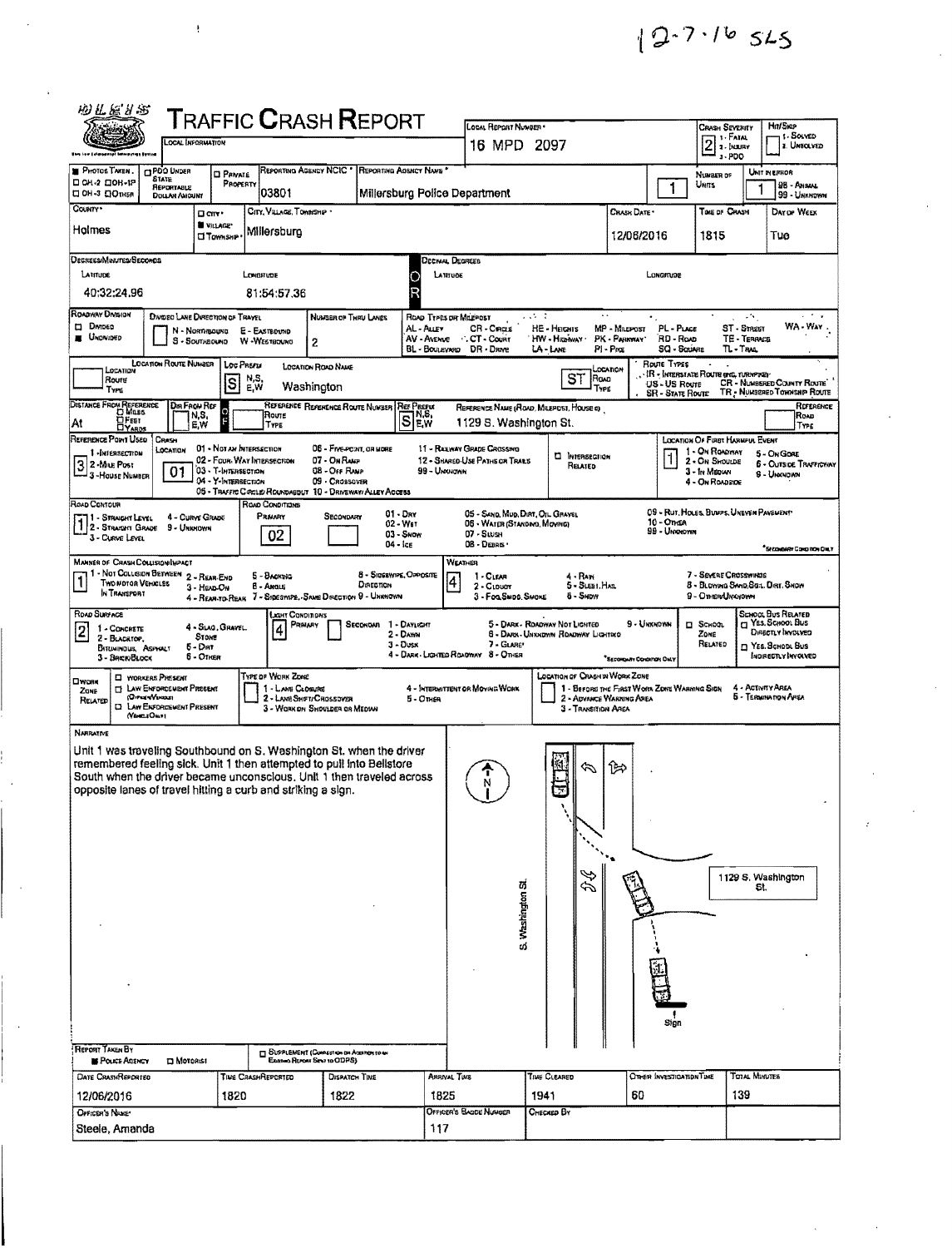| 网里管外观                                                                                                                         |                                                                                                                              |                                                                       |                                         | TRAFFIC <b>C</b> RASH <b>R</b> EPORT                                                                                                                                                                                   |                                                    |                                                                                                  |                                                                      |                                                                         |                                                         |                                                                                                        |                                                                                                                    |
|-------------------------------------------------------------------------------------------------------------------------------|------------------------------------------------------------------------------------------------------------------------------|-----------------------------------------------------------------------|-----------------------------------------|------------------------------------------------------------------------------------------------------------------------------------------------------------------------------------------------------------------------|----------------------------------------------------|--------------------------------------------------------------------------------------------------|----------------------------------------------------------------------|-------------------------------------------------------------------------|---------------------------------------------------------|--------------------------------------------------------------------------------------------------------|--------------------------------------------------------------------------------------------------------------------|
|                                                                                                                               |                                                                                                                              | LOCAL INFORMATION                                                     |                                         |                                                                                                                                                                                                                        |                                                    | LOCAL REPORT NUMBER *<br>16 MPD 2097                                                             |                                                                      |                                                                         |                                                         | Crash Severity<br>1-Fatal<br>$\overline{2}$<br><b>2 - HELIRY</b><br>$3 - PDO$                          | Hn/Skop<br>1. SOLVED<br><b>2. UNSOLVED</b>                                                                         |
| <b>PHOTOS TAKEN</b><br>□ ОН 2 □ ОН -1Р<br>⊟ ОН-3 ⊡Отныя                                                                       | <b>CIPOO UNDER</b><br><b>STATE</b><br><b>REPORTABLE</b><br>DOUAR AMOUNT                                                      | <b>Q</b> PRIVATE<br>PROPERTY                                          | REPORTING AGENCY NCIC *<br>03801        |                                                                                                                                                                                                                        | REPORTING AGENCY NAME                              | Millersburg Police Department                                                                    |                                                                      |                                                                         | 1                                                       | NUMBER OF<br>Units                                                                                     | UNIT IN ERROR<br>98 - Anaw<br>99 - Unknown                                                                         |
| County*<br>Holmes                                                                                                             |                                                                                                                              | □ cm·<br><b>WILLAGE</b><br><b>U</b> TOWNSHP                           | CITY, VELAGE, TOWNSHIP .<br>Millersburg |                                                                                                                                                                                                                        |                                                    |                                                                                                  |                                                                      | CRASH DATE *<br>12/06/2016                                              |                                                         | TIME OF CRASH<br>1815                                                                                  | DAY OF WEEK<br>Tue                                                                                                 |
| Oegrees/Minutes/Secomos                                                                                                       |                                                                                                                              |                                                                       |                                         |                                                                                                                                                                                                                        |                                                    | Decimal Decreeb                                                                                  |                                                                      |                                                                         |                                                         |                                                                                                        |                                                                                                                    |
| LATITUDE<br>40:32:24.96                                                                                                       |                                                                                                                              |                                                                       | Longmude<br>81:54:57,36                 |                                                                                                                                                                                                                        |                                                    | LATITUDE                                                                                         |                                                                      |                                                                         | Lowarrupe                                               |                                                                                                        |                                                                                                                    |
| ROADWAY DIVISION<br><b>DATOED</b><br><b>E U</b> nomato                                                                        |                                                                                                                              | DIVOED LANE DIRECTION OF TRAYEL<br>N - Normsouve<br>S - Southbound    | E - EASTBOUND<br>W -WESTBOUNG           | NUMBER OF THRU LANES<br>2                                                                                                                                                                                              | AL Auer<br>AV - Avenue<br>BL - Boulevard           | ROAD TYPES OR MILEPOST<br><b>CR-Cras</b><br>CT - Count<br>DR - DRNE                              | 74 T<br>HE - HEIGHIS<br>HW - Hitaiway<br>LA-LANE                     | MP - Museost<br>PK - PARKWAY<br>PI-Pag                                  | PL - PLACE<br>RD - Roup<br>SQ - Soume                   | иN,<br>ST - Street<br>TE - TERRACE<br>$TL - T_{RML}$                                                   | WA-Way                                                                                                             |
| Roure<br>TYPE                                                                                                                 | LOCATION ROUTE NUMBER                                                                                                        | Loc Prerix<br>S                                                       | N,S,<br>E,W                             | LOCATION ROAD NAME<br>Washington                                                                                                                                                                                       |                                                    |                                                                                                  | ST<br> Roua<br>TYPE                                                  | LOCATION                                                                | ROUTE TYPES<br>US - US Route<br><b>SR - STATE ROUTE</b> | <b>IR • Interstate Route (Inc. Turnpine)</b>                                                           | CR - NUMBERED COMMY ROUTE<br>TR - NUMBERED TOWNSHIP ROUTE                                                          |
| DISTANCE FROM REFERENCE<br><b>DFEET</b><br>At                                                                                 | Dir Frow Ref                                                                                                                 | N,S,<br>E,W                                                           | Route<br>TYPE                           | REFERENCE REFERENCE ROUTE NUMBER                                                                                                                                                                                       | <b>REF PREEW</b><br>IN,S,<br>$S$ $\mathbb{E}$ w    | 1129 S. Washington St.                                                                           | REFERENCE NAME (ROAD, MILEPOST, HOUSE of                             |                                                                         |                                                         |                                                                                                        | REFERENCE<br>Rovo<br>TYPE                                                                                          |
| REFERENCE POINT USED<br>1-INTERSECTION<br>3 2-Mus Post<br>- 3 - House Number                                                  | Crass<br>LOCATION<br>01                                                                                                      | 01 - NOTAN INTERSECTION<br>03 - T-INTERSECTION<br>04 - Y-Intersection | 02 - Four Way Intersection              | 06 - Frye-Powt, on More<br>07 - On Raup<br>08 - Orr RAMP<br>09 - CROSSOVER<br>05 - TRAFFIC CRICLE/ROUNDABOUT 10 - DRIVEWAY/ ALLEY ACCESS                                                                               | 99 - Unouncwa                                      | 11 - RAILWAY GRADE CROSSING<br>12 - SHARED-USE PATHS OR TRAILS                                   | <b>C INTERSECTION</b><br>Related                                     |                                                                         | 1                                                       | LOCATION OF FURT HARMFUL EVENT<br>1 - On ROADWAY<br>2 - On Shought<br>3 - In Median<br>4 - On Roupside | 5 - On Gont<br><b>6 - OUTSIDE TRAFFICWAY</b><br>9 - Unandwn                                                        |
| ROAD CONTOUR<br>11 - Straight Level<br>1 - Straight Level<br>1 2 - Straight Grape<br>3 - Curve Level                          | 9 - Unknown                                                                                                                  | 4 - CURVE GRADE                                                       | ROAD CONDITIONS<br>Pravaty<br>02        | Secondam                                                                                                                                                                                                               | $01 - Draw$<br>02 - Wet<br>$03 -$ Swow<br>04 - Ice | 05 - SAND, MUD, DIRT, OIL GRAVEL<br>06 - WATER (STANDAYD, MOVING)<br>$07 -$ Stush<br>08 - Debris |                                                                      |                                                                         | 10 - Onga<br>99 - Umaromm                               | 09 - Rut, HOLES, BUNPS, UNEVEN PAVEMENT                                                                | <sup>8</sup> Secoxibivate Compition Only                                                                           |
| <b>MANNER OF CRASH COLLISION/INPACT</b><br>1 - NOT COLLISION BETWEEN 2 - REAR-END<br>۱ī<br>Two notor Vemicles<br>In Thansport |                                                                                                                              | $3 -$ HEAD $O_N$<br>4 - Rear-to-Rear                                  | 5 - Backwa<br><b>B</b> - Angle          | Direction<br>7 - Sineswipe, SAME DIRECTION 9 - UNKNOWN                                                                                                                                                                 | 8 - SIGERWIPE, OPPOSITE                            | WEATHER<br>1-CLEAR<br>$\vert 4 \vert$<br>2 - CLouar<br>3 - Fog Swoo, Swoke                       | $4 - RAN$<br>5 - SLEET, HALL<br><b>B - SHDYY</b>                     |                                                                         |                                                         | 7 - SEVERE CROSSWINDS<br>8 - BLOWING SAND, SOL. DRT. SNOW<br>9 - Other Unknown                         |                                                                                                                    |
| ROAD SURFACE<br>$\overline{2}$<br>1 - CONCRETE<br>2 - BLACKTOP,<br><b>BITUMINOUS, ASSYCALT</b><br>3 - BRENBLOCK               |                                                                                                                              | 4 - Slag, Gravel.<br>Stove<br>5 - Dat<br>5 - Other                    | і жит Саноппонз<br>PRIMARY<br>4         | Seconova                                                                                                                                                                                                               | 1 - DAYLIGHT<br>2 - Dawn<br>$3 -$ Dusk             | 7 - GLARE*<br>4 - DARK LIGHTED ROADWAY 8 - OTHER                                                 | 5 - DARK - ROADWAY NOT LIGHTED<br>6 - DARK UNIONDWN ROADWAY LIGHTDEO | 9 - Urbandyan<br><sup>*</sup> BECONNAY CONSINGH ONLY                    |                                                         | <b>D</b> School<br>Zone<br>RELATED                                                                     | School Bus Related<br>YES, SCHOOL BUS<br>DIRECTLY INVOLVED<br>$\Box$ Yes. Schodl Bus<br><b>INDIRECTLY INVOLVED</b> |
| ⊡чонк<br>Zone<br>RELATED<br>O                                                                                                 | <b>CI WORKERS PRESENT</b><br><b>EY LAW ENFORCEMENT PRESENT</b><br>(Orrozw)/paous<br>LAW ENFORCEMENT PRESENT<br>(Ventra Osco) |                                                                       | TYPE OF WORK ZONE<br>1 - LANG CLOSURE   | 2 - Lame Shipty Crossover<br>3 - WORK ON SHOULDER OR MEDIAN                                                                                                                                                            | 5 - Omen                                           | 4 - INTERMITTENT OR MOVING WORK                                                                  | LOCATION OF CRASH IN WORK ZONE<br>3 - Transition Area                | 1 - BEFORG THE FIRST WORK ZONE WARKING SIGN<br>2 - ADVANCE WARNING AREA |                                                         |                                                                                                        | 4 - Activity Area<br>5 - Termination Afea                                                                          |
| NARRATIVE<br>opposite lanes of travel hitting a curb and striking a sign.                                                     |                                                                                                                              |                                                                       |                                         | Unit 1 was traveling Southbound on S. Washington St. when the driver<br>remembered feeling sick. Unit 1 then attempted to pull into Belistore<br>South when the driver became unconscious. Unit 1 then traveled across |                                                    | T<br>N<br>S. Washington St                                                                       | $\mathscr{D}$                                                        | ি≫                                                                      | Sign                                                    |                                                                                                        | 1129 S. Washington<br>St.                                                                                          |
| REPORT TAKEN BY<br><b>BE POLICE ADENCY</b>                                                                                    | <b>D</b> Moronist                                                                                                            |                                                                       |                                         | <b>DEPPLEMENT (CONNECTION ON ACCORDING 10 AM</b><br>Examo Atron Sent to ODPS)                                                                                                                                          |                                                    |                                                                                                  |                                                                      |                                                                         |                                                         |                                                                                                        |                                                                                                                    |
| DATE CRASHREPORTED                                                                                                            |                                                                                                                              |                                                                       | TIVE CRASHREPORTED                      | DISPATCH TIME                                                                                                                                                                                                          |                                                    | <b>ARRIVAL TWE</b>                                                                               | TINE CLEARED                                                         |                                                                         | OTHER INVESTIGATION TIME                                | TOTAL MINUTES                                                                                          |                                                                                                                    |
| 12/06/2016<br>OFFICER'S NAME                                                                                                  |                                                                                                                              | 1820                                                                  |                                         | 1822                                                                                                                                                                                                                   | 1825                                               | Officen's BAODE NUMBER                                                                           | 1941<br>CHECKED BY                                                   | 60                                                                      |                                                         | 139                                                                                                    |                                                                                                                    |
| Steele, Amanda<br>117                                                                                                         |                                                                                                                              |                                                                       |                                         |                                                                                                                                                                                                                        |                                                    |                                                                                                  |                                                                      |                                                                         |                                                         |                                                                                                        |                                                                                                                    |

ļ

 $12.7.16$  525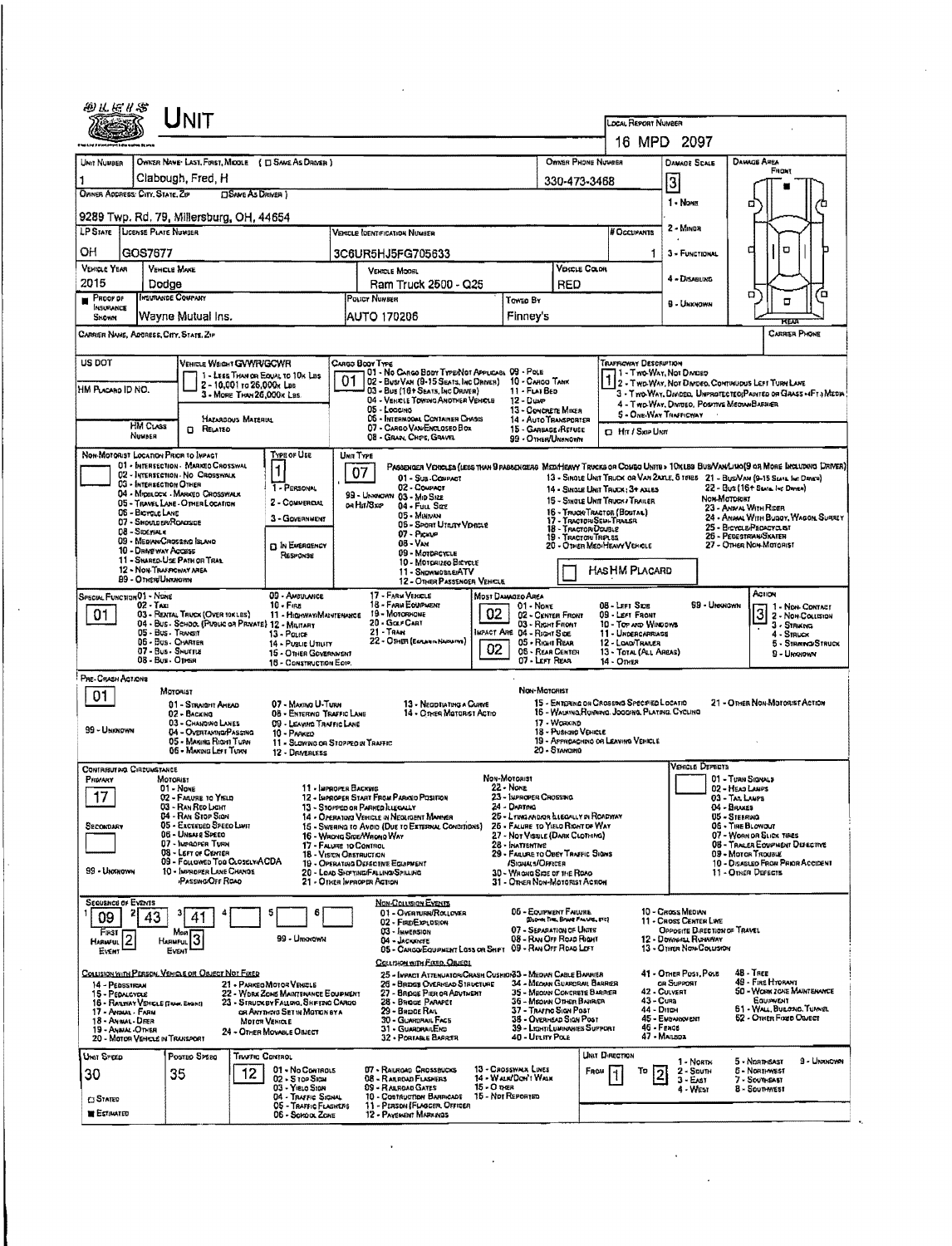|                                                                                                  |                                                                | NIT                                                                                                                                                                                                                                                                                                                                                                 |                                                                              |                                                                                                                                                                           |                                                                                                                                       |                                                                                                                                                                                                                                                                                                                                                                                         |             |                                                                                                                                                                                                                                                                                                                                      |                                                                                                                                                                                                              | <b>LOCAL REPORT NUMBER</b>                                                                                                                  |                                                                                                                                                        |                                                                                                                                                                                                                                                                    |                                                                                                         |
|--------------------------------------------------------------------------------------------------|----------------------------------------------------------------|---------------------------------------------------------------------------------------------------------------------------------------------------------------------------------------------------------------------------------------------------------------------------------------------------------------------------------------------------------------------|------------------------------------------------------------------------------|---------------------------------------------------------------------------------------------------------------------------------------------------------------------------|---------------------------------------------------------------------------------------------------------------------------------------|-----------------------------------------------------------------------------------------------------------------------------------------------------------------------------------------------------------------------------------------------------------------------------------------------------------------------------------------------------------------------------------------|-------------|--------------------------------------------------------------------------------------------------------------------------------------------------------------------------------------------------------------------------------------------------------------------------------------------------------------------------------------|--------------------------------------------------------------------------------------------------------------------------------------------------------------------------------------------------------------|---------------------------------------------------------------------------------------------------------------------------------------------|--------------------------------------------------------------------------------------------------------------------------------------------------------|--------------------------------------------------------------------------------------------------------------------------------------------------------------------------------------------------------------------------------------------------------------------|---------------------------------------------------------------------------------------------------------|
|                                                                                                  |                                                                |                                                                                                                                                                                                                                                                                                                                                                     |                                                                              |                                                                                                                                                                           |                                                                                                                                       |                                                                                                                                                                                                                                                                                                                                                                                         |             |                                                                                                                                                                                                                                                                                                                                      |                                                                                                                                                                                                              |                                                                                                                                             | 16 MPD 2097                                                                                                                                            |                                                                                                                                                                                                                                                                    |                                                                                                         |
| UNIT NUMBER                                                                                      |                                                                | OWNER NAME: LAST, FIRST, MIDDLE ( E) SAME AS DRIVER 1                                                                                                                                                                                                                                                                                                               |                                                                              |                                                                                                                                                                           |                                                                                                                                       |                                                                                                                                                                                                                                                                                                                                                                                         |             |                                                                                                                                                                                                                                                                                                                                      | OWNER PHONE NUMBER                                                                                                                                                                                           |                                                                                                                                             | <b>DAMAGE SCALE</b>                                                                                                                                    | <b>DAMAGE AREA</b><br><b>Frigat</b>                                                                                                                                                                                                                                |                                                                                                         |
| 1<br>OWNER ADDRESS: CITY, STATE, ZIP                                                             |                                                                | Clabough, Fred, H                                                                                                                                                                                                                                                                                                                                                   | <b>OSAME AS DRIVER</b> )                                                     |                                                                                                                                                                           |                                                                                                                                       |                                                                                                                                                                                                                                                                                                                                                                                         |             |                                                                                                                                                                                                                                                                                                                                      | 330-473-3468                                                                                                                                                                                                 |                                                                                                                                             | $\overline{3}$                                                                                                                                         |                                                                                                                                                                                                                                                                    |                                                                                                         |
|                                                                                                  |                                                                | 9289 Twp. Rd. 79, Millersburg, OH, 44654                                                                                                                                                                                                                                                                                                                            |                                                                              |                                                                                                                                                                           |                                                                                                                                       |                                                                                                                                                                                                                                                                                                                                                                                         |             |                                                                                                                                                                                                                                                                                                                                      |                                                                                                                                                                                                              |                                                                                                                                             | 1 - None                                                                                                                                               | ۵                                                                                                                                                                                                                                                                  |                                                                                                         |
| <b>LP STATE LICENSE PLATE NUMBER</b>                                                             |                                                                |                                                                                                                                                                                                                                                                                                                                                                     |                                                                              |                                                                                                                                                                           |                                                                                                                                       | <b>VEHICLE IDENTIFICATION NUMBER</b>                                                                                                                                                                                                                                                                                                                                                    |             |                                                                                                                                                                                                                                                                                                                                      |                                                                                                                                                                                                              | <b>N</b> OCCUPANTS                                                                                                                          | 2 - MINDR                                                                                                                                              |                                                                                                                                                                                                                                                                    |                                                                                                         |
| OН                                                                                               | GOS7677                                                        |                                                                                                                                                                                                                                                                                                                                                                     |                                                                              |                                                                                                                                                                           |                                                                                                                                       | 3C6UR5HJ5FG705633                                                                                                                                                                                                                                                                                                                                                                       |             |                                                                                                                                                                                                                                                                                                                                      |                                                                                                                                                                                                              | 1                                                                                                                                           | 3 - FUNCTIONAL                                                                                                                                         | α                                                                                                                                                                                                                                                                  | O                                                                                                       |
| <b>VEHICLE YEAR</b><br>2015                                                                      |                                                                | <b>VEHICLE MAKE</b><br>Dodge                                                                                                                                                                                                                                                                                                                                        |                                                                              |                                                                                                                                                                           |                                                                                                                                       | VEHICLE MOOBL<br>Ram Truck 2500 - Q25                                                                                                                                                                                                                                                                                                                                                   |             | RED                                                                                                                                                                                                                                                                                                                                  | <b>VERGLE COLOR</b>                                                                                                                                                                                          |                                                                                                                                             | 4 - DISABLING                                                                                                                                          |                                                                                                                                                                                                                                                                    |                                                                                                         |
| <b>PROOF OF</b><br>INSURANCE                                                                     |                                                                | INSURANCE COMPANY                                                                                                                                                                                                                                                                                                                                                   |                                                                              |                                                                                                                                                                           | POLICY NUMBER                                                                                                                         |                                                                                                                                                                                                                                                                                                                                                                                         |             | Toweo By                                                                                                                                                                                                                                                                                                                             |                                                                                                                                                                                                              |                                                                                                                                             | <b>9 - UNKNOWN</b>                                                                                                                                     | α                                                                                                                                                                                                                                                                  | ้อ<br>□                                                                                                 |
| SNOWN                                                                                            |                                                                | Wayne Mutual Ins.                                                                                                                                                                                                                                                                                                                                                   |                                                                              |                                                                                                                                                                           |                                                                                                                                       | <b>AUTO 170206</b>                                                                                                                                                                                                                                                                                                                                                                      |             | Finney's                                                                                                                                                                                                                                                                                                                             |                                                                                                                                                                                                              |                                                                                                                                             |                                                                                                                                                        |                                                                                                                                                                                                                                                                    | rtean                                                                                                   |
|                                                                                                  |                                                                | CARRIER NAME, ADDRESE, CITY, STATE, ZIP                                                                                                                                                                                                                                                                                                                             |                                                                              |                                                                                                                                                                           |                                                                                                                                       |                                                                                                                                                                                                                                                                                                                                                                                         |             |                                                                                                                                                                                                                                                                                                                                      |                                                                                                                                                                                                              |                                                                                                                                             |                                                                                                                                                        |                                                                                                                                                                                                                                                                    | CARRIER PHONE                                                                                           |
| US DOT<br>HM PLACARO ID NO.                                                                      | <b>HM CLASS</b><br>Numen                                       | VEHICLE WEIGHT GWWR/GCWR<br><b>D</b> RELATED                                                                                                                                                                                                                                                                                                                        | 2 - 10,001 to 26,000x Las<br>3 - MORE THAN 26,000x Las<br>HAZARDOUS MATERIAL | 1 - LESS THAN OR EQUAL TO 10K LES                                                                                                                                         | Curgo Booy Type<br>01                                                                                                                 | 01 - No CARGO BODY TYPENOT APPLICABL 09 - POLE<br>02 - Busi Van (9-15 Seats, Inc Oriver)<br>03 - Bus (16+ Seats, Inc Driver)<br>04 - VEHICLE TOWING ANOTHER VEHICLE<br>05 - Loccino<br>05 - INTERMODAL CONTAINER CHASIS<br>07 - CARGO VAN ENGLOSEO BOX<br>08 - Gran, Chps, Gravel                                                                                                       |             | 10 - Carlog TANK<br>11 - FLAT BED<br>$12 - Dune$<br>13 - CONCRETE MIKER<br>14 - AUTO TRANSPORTER<br>15 - GARBAGE/REFUSE<br>99 - OTHER/UNKNOWN                                                                                                                                                                                        |                                                                                                                                                                                                              | TRAFFICHAY DESCRIPTION<br><b>D</b> Hr / Sxie Usm                                                                                            | 1 - Two-WAY, Not Divideo<br>2 - Two WAY, Not Divideo, Communication Turn LAME<br>4 - Two WAY, DIWDEO, POSYTYS MEDIAN BARRIER<br>5 - ONE-WAY THAFFICWAY |                                                                                                                                                                                                                                                                    | 3 - Two-WAY, Divideo, UNPROTECTEO(PAINTED OF GRASS +4FT.) MEDIA                                         |
|                                                                                                  | 06 - BICYCLE LANE<br>08-Spervax<br><b>89 - OTHER/UNTANOVIN</b> | NON-MOTORIST LOCATION PRIOR TO INPACT<br>01 - INTERSECTION - MARKEO CROSSWAL<br>02 - INTERSECTION - NO CROSSWALK<br>03 - INTERSECTION OTHER<br>04 - Migglock - MARKED CROSSWALK<br>05 - TRAVEL LANE - O THER LOCATION<br>07 - Should en/Roadside<br>09 - MEDIAN CROSSING BLAND<br>10 - DRIVE WAY ACCESS<br>11 - SHARED-USE PATH OR TRAL<br>12 - NON-TRAFPICWAY AREA |                                                                              | TYPE OF USE<br>$\mathbf{1}$<br>1 - PERSONAL<br>2 - COMMERCIAL<br>3 - Government<br><b>D</b> In EMERGENCY<br>RESPONSE                                                      | <b>UNIT TYPE</b><br>07<br>oa Hui/Sxe                                                                                                  | Passenger Vencles (less than 9 passengers Med/Heavy Trucks or Coligo Units > 10x18s Bus/Van/Juno(9 or More Including Driver)<br>01 - Sus COMPACT<br>02 - Couract<br>99 - UNGHOWN 03 - MID SIZE<br>04 - Fuu Sac<br>05 - Minivan<br>06 - Sport Utary Vencie<br>07 - Proven<br>08 - Van<br>09 - MOTORCYCLE<br>10 - MOTORIZEO BICYCLE<br>11 - SNOWWOSNE/ATV<br>12 - OTHER PASSENGER VEHICLE |             |                                                                                                                                                                                                                                                                                                                                      | 14 - SINGLE UNIT TRUCK: 3+ AXLES<br>15 - SINGLE UNIT TRUCK / TRAILER<br>16 - TRUCH/TRACTOR (BOSTAL)<br>17 - TRACTORISEM-TRALER<br>18 - TRACTOR/DOUBLE<br>19 - TRACTORUTRELES<br>20 - OTHER MEDIHEAVY VEHICLE | HAS HM PLACARD                                                                                                                              | 13 - SINOLE UNIT TRUCK OR VAN 2AXLE, 6 TOTES 21 - BUSNAN (9-15 SIATE INC DEVICE)                                                                       | 22 - Bus (16+ State be Dreen)<br><b>Non-Matorest</b><br>23 - ANNAL WITH RIDER<br>25 - BICYCLE PEDACYCLEST<br>26 - PEDESTRIAN/SKATER<br>27 - OTHER NON-MOTORIST                                                                                                     | 24 - ANNAL WITH BUGOY, WAGON, SURREY                                                                    |
| SPECIAL FUNCTION 01 - NONE<br>01                                                                 | $02 - Tax$                                                     | 03 - RENTAL THUCK (OVER 10KLBS)<br>04 - Bus - SCHOOL (PUBLIC OR PRIVATE) 12 - MILITARY<br>05 - Bus - Transit<br>06 - Bus. CHARTER<br>07 - Bus - SHUTTLE<br>08 - Bus Offen                                                                                                                                                                                           |                                                                              | 09 - AMBULANCE<br>$10 - F$ ins<br>11 - HIGHWAYIMAINTENANCE<br>$13 - \text{Pout}$<br>14 - Pusus Unury<br>15 - OTHER GOVERNMENT<br>16 - CONSTRUCTION EOIP.                  |                                                                                                                                       | 17 - FARM VEHICLE<br>18 - FARM EOUPMENT<br>19 - MOTORHOME<br>20 - Galf Carl<br>21 - Тяли<br>22 - OTHER (Experim Numering)                                                                                                                                                                                                                                                               | 02<br>02    | MOST DAMAIEO AREA<br>01 - None<br>02 - CENTER FRONT<br>03 - Right Front<br>MPACT ARE 04 - RIGHT SIDE<br>05 - Right Rear<br>06 - REAR CENTER<br>07 - LEFT REAR                                                                                                                                                                        |                                                                                                                                                                                                              | 08 - Left Side<br>09 - LEFT FRONT<br>10 - TOP AND WINDOWS<br>11 - UNDERCARRIAGE<br>12 - LOAD THALER<br>13 - TOTAL (ALL AREAS)<br>14 - Отнея | 99 - Unxnown                                                                                                                                           | ACTION<br>$\overline{3}$                                                                                                                                                                                                                                           | 1 - Non-Contact<br>2 - Non Collision<br>$3 -$ STRIKING<br>4 - Struck<br>5 - STRAND-STRUCK<br>9 - Ungova |
| PRE-CRASH ACTIONS<br>01<br>99 - UNIGNOVIN                                                        |                                                                | MOTORIST<br>01 - STRAIGHT AMEAD<br>02 - Backing<br>03 - CHANGING LANES<br>04 - Overtaving/Passing<br>05 - MAXING RIGHT TURN<br>06 - MAXING LEFT TURN                                                                                                                                                                                                                |                                                                              | 07 - MAXING U-TURN<br>08 - ENTERWO TRAFFIC LANE<br>09 - LEAVING TRAFFIC LANE<br>10 - Parkeo<br>11 - Slowing on Stopped in Traffic<br>12 - DRMERLESS                       |                                                                                                                                       | 13 - Neoptiating a Currys<br>14 - Orken Matorist Actio                                                                                                                                                                                                                                                                                                                                  |             | Non-Motorist<br>15 - Entering on Crossing Specified Locatio<br>16 - WALKING RUNNING, JOGGING, PLATING, CYCLING<br>17 - Working<br>18 - PUSH2NO VEHICLE<br>19 - APPHOACHING OR LEAVING VEHICLE<br>20 - Sтаномо                                                                                                                        |                                                                                                                                                                                                              |                                                                                                                                             |                                                                                                                                                        | 21 - O then Non-Matorist Action                                                                                                                                                                                                                                    |                                                                                                         |
| CONTRIBUTING CIRCUMSTANCE<br>PRIMARY<br>17<br>SECONDARY<br>99 - Uranowy                          |                                                                | MOTORIST<br>$01 - None$<br>02 - FAILURE TO YELD<br>03 - RAN REO LIGHT<br>04 - RAN STOP SIGN<br>05 - Exceeded Speed Lawr<br>06 - UNSAFE SPEED<br>D7 - IMPROPER TURN<br>08 - LEFT OF CEMTER<br>09 - Followed Too CLOSELWACDA<br>10 - INGRUPER LANE CHANGE<br><b>PASSING OFF ROAD</b>                                                                                  |                                                                              |                                                                                                                                                                           | 11 - IMPROPER BACKING<br>16 - WADNG SIDE/WADNO WAY<br>17 - FALVRE 10 CONTROL<br>18 - Vision Obstruction<br>21 - Other Improper Action | 12 - IMPROPER START FROM PARKED POSITION<br>13 - Stoffed or Parked Regulat<br>14 - Operation Vehicle in Negligent Mammer<br>15 - Swering to Avoid (Due to External Conditions)<br>19 - OPERATURG DEFECTIVE EQUIPMENT<br>20 - LOAD SHOFTING/FALLINOUSPILLING                                                                                                                             |             | Non-Motorist<br>22 - None<br>23 - Luproper Crosswa<br>24 - Darting<br>25 - LYINGANDIOR LLEGALLY IN ROADWAY<br>25 - FALURE TO YIELD RIGHT OF WAY<br>27 - Not Visiele (Darix Clothing)<br>28 - Inattentive<br>29 - FAILURE TO OBEY TRAFFIC SIGNS<br>/Signal s/Officer<br>30 - WRONG SIDE OF THE ROAD<br>31 - Other Non-Motorist Action |                                                                                                                                                                                                              |                                                                                                                                             | Vehicle Depects                                                                                                                                        | 01 - Turn Signals<br><b>02 - HEAD LAMPS</b><br>03 - TAL LAUPS<br>04 - Brakes<br>05 - STEERING<br>06 - TIRE BLOWOUT<br>07 - WOAN OR SLICK TIRES<br>08 - TRACER EQUIPMENT DEFECTIVE<br>09 - MOTOR TROUBLE<br>10 - DISABLEO FROM PRIOR ACCIDENT<br>11 - OTHER DEFECTS |                                                                                                         |
| <b>SEQUENCE OF EVENTS</b><br>09<br>Frst<br><b>HARMFUL</b><br>EVENT                               |                                                                | Mos<br>3<br>HARMFUL<br>EVENT                                                                                                                                                                                                                                                                                                                                        |                                                                              | 6<br>99 - Unnnown                                                                                                                                                         |                                                                                                                                       | <b>NON-COLLISION EVENTS</b><br>01 - OVERTURN/ROLLOVER<br>02 - FIRE/EXPLOSION<br>03 - IMMERSION<br>04 - JACKKHTE<br>05 - CARCO/EQUIPMENT LOSS OR SHIFT                                                                                                                                                                                                                                   |             | 05 - EQUIPMENT FAILURE<br>(Brown Time, Brune Faculty, ETC)<br>07 - SEPARATION OF UNITS<br>08 - RAN OFF ROAD RIGHT<br>09 - RAN OFF ROAD LEFT                                                                                                                                                                                          |                                                                                                                                                                                                              |                                                                                                                                             | 10 - Cross Meown<br>11 - CROSS CENTER LINE<br>OPPOSITE DIRECTION OF TRAVEL<br>12 - DOWNHILL RUNNAY<br>13 - OTHER NON-COLUSION                          |                                                                                                                                                                                                                                                                    |                                                                                                         |
| 14 - PEDSSTROUI<br>15 - PEDALCYCLE<br>17 - Angual - Farih<br>18 - Annal Deer<br>19 - ANNAL OTHER |                                                                | COLLISION WITH PERSON, VEHICLE OR OBJECT NOT FIKED<br>16 - RALWAY VEHICLE DRAW ENGINEE<br>20 - MOTOR VEHICLE IN TRANSPORT                                                                                                                                                                                                                                           | MOTOR VENICLE                                                                | 21 - PARKEO MOTOR VENCLE<br>22 - WORK ZONG MAINTENANCE EQUIPMENT<br>23 - STRUCK BY FALLORD, SHIFTING CARGO<br>OR ANYTHING SET IN MOTION BY A<br>24 - OTHER MOVABLE OBJECT |                                                                                                                                       | COLUMON WITH FIXED, ORIECL<br>25 - INPACT ATTENUATORICRASH CUSHION33 - MEDWH CABLE BARRIER<br>26 - BRIDGE OVERHEAD STRUCTURE<br>27 - BROGE PIER OR ABUTMENT<br>28 - Brioge Parapet<br>29 - Broce Ran<br>30 - GUARDRAIL FACE<br>31 - Guardran Ero<br>32 - PORTABLE BARRIER                                                                                                               |             | 34 - Megnan Guardrail Barrier<br>35 - Meouv Concrete BARRER<br>36 - MISOWN OTHER BARRIER<br>37 - TRAFFIC SIGN POST<br>38 - OVERHEAD SIGN POST<br>39 - Light/Luminaries Support<br>40 - Urury Pous                                                                                                                                    |                                                                                                                                                                                                              | 43 - Cuna<br>44 - Drrch<br>45 - Генса                                                                                                       | 41 - OTHER POST, POLE<br>or Support<br>42 - CULVERT<br>45 - EMBANKMENT<br>47 - MAILBDA                                                                 | <b>48 - TREE</b><br>49 - FIRE HYDRANT<br>EQUIPMENT<br>61 - WALL, BULOND, TUMEL<br>52 - Owen Free Owect                                                                                                                                                             | <b>50 - WORK ZONE MAINTENANCE</b>                                                                       |
| Um Sreep<br>30<br><b>CI STATED</b><br><b>ESTIMATED</b>                                           |                                                                | Posteo Speep<br>35                                                                                                                                                                                                                                                                                                                                                  | Traffic Control<br>12                                                        | 01 - No Controls<br>02 - S TOP SIGN<br>03 - Yielo Sion<br>04 - TRAFFIC SIGNAL<br>05 - TRAFFIC FLASHERS<br>06 - School Zone                                                |                                                                                                                                       | <b>U7 - RAILROAD CROSSBUCKS</b><br>08 - RALROAD FLASHERS<br>09 - RALROAD GATES<br>10 - COSTRUCTION BARRICADE<br>11 - PERSON (FLAGGER, OFFICER<br>12 - PAVEMENT MARKINGS                                                                                                                                                                                                                 | 15 - О тиел | 13 - CROSSWALX LINES<br>14 - Walk/Don't Walk<br>15 - Not Reported                                                                                                                                                                                                                                                                    | UNIT DIRECTION<br>Faou                                                                                                                                                                                       | To                                                                                                                                          | 1 - Noam<br>$2 -$ South<br>$3 - E$ AST<br>4 - West                                                                                                     | 5 - Nonneast<br><b>5 - NORTHWEST</b><br>7 - SOUTHEAST<br>8 - SoutHWEST                                                                                                                                                                                             | 9 - Unixhown                                                                                            |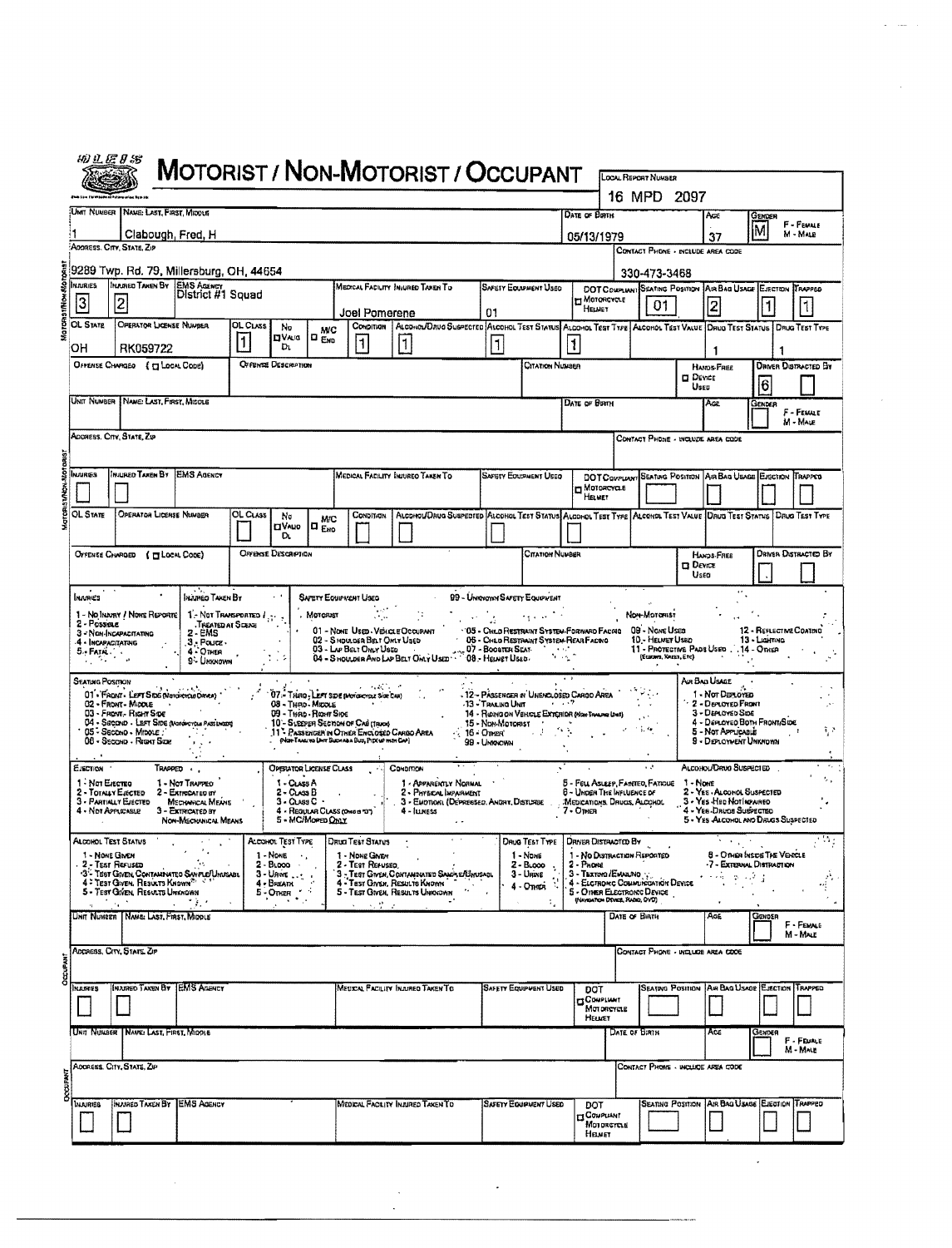|                                                               | <i>40 L E 8 S</i>                                                          |                                                                                                                                                                                                                                     |                                                                                                                           |               |                                                                                                                         |                                                   |                                                                                                                                 | MOTORIST / NON-MOTORIST / OCCUPANT                                                                                      |                                                             |                                                                                                                                                                                                                                                             |                                                        | LOCAL REPORT NUMBER                                                                                                                |                                                       |                                                                                                                                                      |                                             |                             |
|---------------------------------------------------------------|----------------------------------------------------------------------------|-------------------------------------------------------------------------------------------------------------------------------------------------------------------------------------------------------------------------------------|---------------------------------------------------------------------------------------------------------------------------|---------------|-------------------------------------------------------------------------------------------------------------------------|---------------------------------------------------|---------------------------------------------------------------------------------------------------------------------------------|-------------------------------------------------------------------------------------------------------------------------|-------------------------------------------------------------|-------------------------------------------------------------------------------------------------------------------------------------------------------------------------------------------------------------------------------------------------------------|--------------------------------------------------------|------------------------------------------------------------------------------------------------------------------------------------|-------------------------------------------------------|------------------------------------------------------------------------------------------------------------------------------------------------------|---------------------------------------------|-----------------------------|
|                                                               |                                                                            |                                                                                                                                                                                                                                     |                                                                                                                           |               |                                                                                                                         |                                                   |                                                                                                                                 |                                                                                                                         |                                                             |                                                                                                                                                                                                                                                             |                                                        | 16 MPD 2097                                                                                                                        |                                                       |                                                                                                                                                      |                                             |                             |
|                                                               |                                                                            | UMT NUMBER NAME: LAST, FIRST, MIDDLE<br>Clabough, Fred, H                                                                                                                                                                           |                                                                                                                           |               |                                                                                                                         |                                                   |                                                                                                                                 |                                                                                                                         |                                                             |                                                                                                                                                                                                                                                             | DATE OF BOTH                                           |                                                                                                                                    | Aœ<br>37                                              | M                                                                                                                                                    | GENDER                                      | F - FEWALE<br>M - MAR       |
|                                                               |                                                                            | ADORESS, CITY, STATE, ZIP                                                                                                                                                                                                           |                                                                                                                           |               |                                                                                                                         |                                                   |                                                                                                                                 |                                                                                                                         |                                                             |                                                                                                                                                                                                                                                             | 05/13/1979                                             | CONTACT PHONE - INCLUDE AREA CODE                                                                                                  |                                                       |                                                                                                                                                      |                                             |                             |
|                                                               | <b>INJURIES</b>                                                            | 9289 Twp. Rd. 79, Millersburg, OH, 44654<br><b>INVURED TAKEN BY EMS AGENCY</b>                                                                                                                                                      |                                                                                                                           |               |                                                                                                                         |                                                   |                                                                                                                                 | MEDICAL FACILITY INJURED TAXEN TO                                                                                       |                                                             | <b>SAFETY ECUPMENT USED</b>                                                                                                                                                                                                                                 |                                                        | 330-473-3468<br>DOT COMPLIANT SEATING POSITION AIR BAG USAGE EJECTION TRAFFED                                                      |                                                       |                                                                                                                                                      |                                             |                             |
|                                                               | $\overline{3}$                                                             | $\overline{\mathbf{c}}$                                                                                                                                                                                                             | District #1 Squad                                                                                                         |               |                                                                                                                         |                                                   | Joel Pomerene                                                                                                                   |                                                                                                                         | 01                                                          |                                                                                                                                                                                                                                                             | η Ματακονοιε<br>HELNET                                 | 01                                                                                                                                 | 2                                                     |                                                                                                                                                      | 1                                           | 1                           |
|                                                               | <b>OL STATE</b><br>он                                                      | OPERATOR LICENSE NUMBER<br>RK059722                                                                                                                                                                                                 |                                                                                                                           | OL CLASS<br>1 | No<br><b>DVA</b> is<br>Dı.                                                                                              | <b>MC</b><br><b>D</b> <sub>END</sub>              | Сомрітіан<br>$\overline{\mathbf{1}}$                                                                                            | ALCONOL/DRUG SUSPECTED ALCOHOL TEST STATUS ALCOHOL TEST TYPE ALCOHOL TEST VALUE DRUG TEST STATUS   DRUG TEST TYPE<br> 1 |                                                             |                                                                                                                                                                                                                                                             |                                                        |                                                                                                                                    | п                                                     |                                                                                                                                                      |                                             |                             |
| <b>OFFENSE DESCRIPTION</b><br>OFFENSE CHARGED { [ LOCAL CODE) |                                                                            |                                                                                                                                                                                                                                     |                                                                                                                           |               |                                                                                                                         |                                                   |                                                                                                                                 |                                                                                                                         |                                                             | Citation Number                                                                                                                                                                                                                                             |                                                        |                                                                                                                                    | <b>HANDS FREE</b><br><b>DEVICE</b><br>Usea            |                                                                                                                                                      | <b>DRIVER DISTRACTED BY</b><br>16           |                             |
|                                                               |                                                                            | UNIT NUMBER   NAME: LAST, FIRST, MIDDLE                                                                                                                                                                                             |                                                                                                                           |               |                                                                                                                         |                                                   |                                                                                                                                 |                                                                                                                         |                                                             |                                                                                                                                                                                                                                                             | DATE OF BIRTH                                          |                                                                                                                                    | Age                                                   |                                                                                                                                                      | Gender                                      | F - FEMALE                  |
|                                                               |                                                                            | ADDRESS, CITY, STATE, ZIP                                                                                                                                                                                                           |                                                                                                                           |               |                                                                                                                         |                                                   |                                                                                                                                 |                                                                                                                         |                                                             |                                                                                                                                                                                                                                                             |                                                        | CONTACT PHONE - INCLUDE AREA CODE                                                                                                  |                                                       |                                                                                                                                                      |                                             | M - MALE                    |
|                                                               |                                                                            |                                                                                                                                                                                                                                     |                                                                                                                           |               |                                                                                                                         |                                                   |                                                                                                                                 |                                                                                                                         |                                                             |                                                                                                                                                                                                                                                             |                                                        |                                                                                                                                    |                                                       |                                                                                                                                                      |                                             |                             |
|                                                               | In ⊔R∉S                                                                    | INJURED TAXEN BY                                                                                                                                                                                                                    | <b>EMS AGENCY</b>                                                                                                         |               |                                                                                                                         |                                                   |                                                                                                                                 | MEDICAL FACILITY INJURED TAKEN TO                                                                                       |                                                             | SAFETY EOUTMENT USED                                                                                                                                                                                                                                        | η Μοτοκαναιε<br>HELMET                                 | DOT COMPLANT SEATING POSITION AIR BAG USAGE ENSCTION TRAPPED                                                                       |                                                       |                                                                                                                                                      |                                             |                             |
|                                                               | OL STATE                                                                   | OPERATOR LICENSE NUMBER                                                                                                                                                                                                             |                                                                                                                           | OL Cuss       | No<br><b>OVAUO</b>                                                                                                      | MC<br>I¤ <sub>Ено</sub>                           | CONDITION                                                                                                                       | ALCOHOL/DRUG SUSPECTED ALCOHOL TEST STATUS ALCOHOL TEST TYPE ALCOHOL TEST VALUE DRUG TEST STATUS DRUG TEST TYPE         |                                                             |                                                                                                                                                                                                                                                             |                                                        |                                                                                                                                    |                                                       |                                                                                                                                                      |                                             |                             |
|                                                               |                                                                            | OFFENSE CHARGED ( TT LOCAL CODE)                                                                                                                                                                                                    |                                                                                                                           |               | D.<br>OFFINSE DESCRIPTION                                                                                               |                                                   |                                                                                                                                 |                                                                                                                         |                                                             | Citation Number                                                                                                                                                                                                                                             |                                                        |                                                                                                                                    | HANDS-FREE                                            |                                                                                                                                                      |                                             | <b>DRIVER DISTRACTED BY</b> |
|                                                               |                                                                            |                                                                                                                                                                                                                                     |                                                                                                                           |               |                                                                                                                         |                                                   |                                                                                                                                 |                                                                                                                         |                                                             | <b>99 - UMNOWN SAFETY EQUIPMENT</b>                                                                                                                                                                                                                         |                                                        |                                                                                                                                    | $D$ Device<br>Usea                                    |                                                                                                                                                      |                                             |                             |
|                                                               | 2-Possine<br>4 - Incapacitatuic<br>$5 - FATM$ .<br>A, ST<br>Seannig Posmon | 1 - No Injuny / None Reporte<br>3 - NON-INCAPACITATING<br>01 - FRONT - LEFT SIDG (NOTORTOLE DRIVE)<br>02 - Front - Middle<br>03 - Front - Right Sipe<br>04 - Second - LEFT Side (Mondrencus Passibilized)<br>05 - Secono - Minoue : | $1$ - Not Thansported $I_{11}$ .<br>TREATED AT SCENE<br>$2 - EMS$<br>.3. Pouce.<br>4 - OTHER<br>9 - Unknown<br>1992       |               | 08 - Thro - Micole                                                                                                      | . Мотоянт<br>09 - Thing - Right Sipe              | 02 - Shoulder Belt Only Used<br>a anglica<br>07. THIRD, LEFT SIDE (Morioscripe Size CAR)<br>10 - SLEEPER SECTION OF CAB (TRICK) | 01 - NONE USED - VENCLE OCCUPANT<br>11 PASSENGER IN OTHER ENCLOSED CARGO AREA                                           | 13 - Tras ing Unit<br>15 - Non-Motorist<br>$\sim$ 16 - Omen | and provide with<br>"05 - CHILD RESTRAINT SYSTEM-FORWARD FACING 09 - NOME USED<br><b>05 - CHED RESTRAINT SYSTEM-REAR FACTO</b><br>- 12 - PASSENCER IN UNENCLOSED CARGO AREA<br><b>Contract Party</b><br>14 - RIOING ON VEHICLE EXTERIOR (NON-TRAILPIG UNIT) |                                                        | Non-Morensi<br>10 - HELMET USED<br>(Eusters, Kruss, Etc)                                                                           | 11 - PROTECTIVE PADS USED 14 - OTHER<br>Air Ban Usace | 1 - Nor Denoved<br>2 - Dervoyeo Front<br>3 - Den avec Soe<br>4 - Denoveo Born Front Sipe<br>5 - Not Applicable                                       | 12 - REFLECTIVE COATING<br>$13 -$ Lichtring | ¥,                          |
|                                                               |                                                                            | 08 - Secolo - Right Size                                                                                                                                                                                                            |                                                                                                                           |               |                                                                                                                         |                                                   | (Not-Tracino Liver Bucheau Bus, Pipeup min Cap)                                                                                 |                                                                                                                         | 99 - Uniorown                                               |                                                                                                                                                                                                                                                             |                                                        |                                                                                                                                    |                                                       | 9 - DEPLOWENT UNKNOWN                                                                                                                                |                                             |                             |
|                                                               | EJECTION<br>1 - Not Electric<br>2 - Totally Elected<br>4 - NOT APPLICABLE  | 3 - PARTIALLY EJECTED                                                                                                                                                                                                               | TRAPPED .<br>1 - Not Traffeo<br>2 - Extrecated ey<br><b>MECHANICAL MEANS</b><br>3 - EXTRICATED BY<br>NON-MECHANICAL MEANS |               | <b>OPERATOR LICENSE CLASS</b><br>1 - CLASS A<br>$2 -$ CLASS $B$<br>$3 - \text{C} \cup \text{S} \text{S} \cdot \text{C}$ | 4 - REQUUR CLASS (ONO 3 TOT)<br>5 - MC/Moren Ontr |                                                                                                                                 | Conomon<br>1 - APPARENTLY NORMAL<br>2 - PHYSICAL INFARMENT<br>3 - EMOTION: (DEPRESSED, ANDRY, DISTURBE<br>4 - Iuness    |                                                             |                                                                                                                                                                                                                                                             | 6 - UNDER THE INFLUENCE OF<br>7-Om⊫na i                | 5 - Feu Asuger FAINTED, FATIOUE 1 - NOME<br>MEDICATIONS, DRUGS, ALCOHOL                                                            |                                                       | ALCOHOL/DRUG SUSPECTED<br>2 - YES - ALCOHOL SUSPECTED<br>3 - Yes - Han Not Inpunso<br>4 - Yes Davos Susvecteo<br>5 - YES ALCOHOL AND DRUGS SUSPECTED |                                             |                             |
|                                                               | Alcohol Test Status<br>1 - NONE GIVEN<br>. 2 - Test Renused                | 3- TEST GIVEN CONTAMINATED SAVPLE/UNUSABL<br>4 - Test Given, Results Known<br>5 - TEST GIVEN, REGULTS UNKNOWN<br><b>第二次,我们的人们也不能会</b>                                                                                               | $\sim 60$                                                                                                                 |               | ALCOHOL TEST TYPE<br>1 - None<br>$\cdot$ .<br>2 - Broco<br>$3 -$ Unive<br>$4 - 1$<br>$5 - 1$<br>$5 - 1$                 |                                                   | DRUG TEST STATUS<br>1 - None Given<br>2 - TEST REFUSED,<br>医心脏壁炎                                                                | 3 - Test Given, Contaminated Sama E/Unusage<br>4 - Test Given, Results Known<br>5 - TEST GIVEN, RESULTS UNIOCOVIN       |                                                             | DRUG TEST TYPE   DRIVER DISTRACTED BY<br>1 - None<br>$2 - B1$ 000<br>÷.<br>3 - Unive<br>4 - OTHER<br>A,<br>٠.                                                                                                                                               | 2 - Phone<br>3 - Taxrona / EMARANO : ;                 | 1 - No DISTRACTION REPORTED<br>4 - ELCTROMC COMMUNICATION DEVICE<br>5 - O HER ELECTRONIC DEVICE<br>(NAVIGATION DEVICE, RADIO, OVO) |                                                       | 1 - UTHER INSDE I HE VENCLE<br>-7 - EXTERNAL DISTRACTION<br>રાજની વ્યક્તી છે                                                                         |                                             |                             |
|                                                               |                                                                            | UNIT NUMBER   NAME: LAST, FIRST, MIDDLE                                                                                                                                                                                             |                                                                                                                           |               |                                                                                                                         |                                                   |                                                                                                                                 |                                                                                                                         |                                                             |                                                                                                                                                                                                                                                             |                                                        | DATE OF BIRTH                                                                                                                      | AcE                                                   |                                                                                                                                                      | Genote                                      | F - FEMALE<br>M - MALE      |
| OCCURANT                                                      |                                                                            | ADDRESS, CITY, STATE ZIP                                                                                                                                                                                                            |                                                                                                                           |               |                                                                                                                         |                                                   |                                                                                                                                 |                                                                                                                         |                                                             |                                                                                                                                                                                                                                                             |                                                        | CONTACT PHONE - INCLUDE AREA CODE                                                                                                  |                                                       |                                                                                                                                                      |                                             |                             |
|                                                               | KAURES                                                                     | INJURED TAXEN BY JEMS AGENCY                                                                                                                                                                                                        |                                                                                                                           |               |                                                                                                                         |                                                   |                                                                                                                                 | MEDICAL FACILITY INJURED TAKEN TO                                                                                       |                                                             | <b>SAFETY EQUIPMENT USED</b>                                                                                                                                                                                                                                | DOT<br><b>GONPLIANT</b><br>Motoncycle<br><b>HELMET</b> |                                                                                                                                    | Seating Position   Air Bag Usace   Ejection   Trapped |                                                                                                                                                      |                                             |                             |
|                                                               |                                                                            | UNIT NUMBER   NAVEL LAST, FIRST, MIDDLE                                                                                                                                                                                             |                                                                                                                           |               |                                                                                                                         |                                                   |                                                                                                                                 |                                                                                                                         |                                                             |                                                                                                                                                                                                                                                             |                                                        | DATE OF BIRTH                                                                                                                      | Ace                                                   |                                                                                                                                                      | Gender                                      | F - Feurle<br>M - MALE      |
| DOCUPAT                                                       |                                                                            | ADDRESS, CITY, STATE, ZIP                                                                                                                                                                                                           |                                                                                                                           |               |                                                                                                                         |                                                   |                                                                                                                                 |                                                                                                                         |                                                             |                                                                                                                                                                                                                                                             |                                                        | Contact Phone - include area code                                                                                                  |                                                       |                                                                                                                                                      |                                             |                             |
|                                                               | <b>MAURIBB</b>                                                             | <b>INAVAGO TAKEN BY EMS AGENCY</b>                                                                                                                                                                                                  |                                                                                                                           |               |                                                                                                                         |                                                   |                                                                                                                                 |                                                                                                                         |                                                             |                                                                                                                                                                                                                                                             |                                                        |                                                                                                                                    |                                                       |                                                                                                                                                      |                                             |                             |

 $\ddot{\phantom{a}}$ 

 $\mathcal{A}$